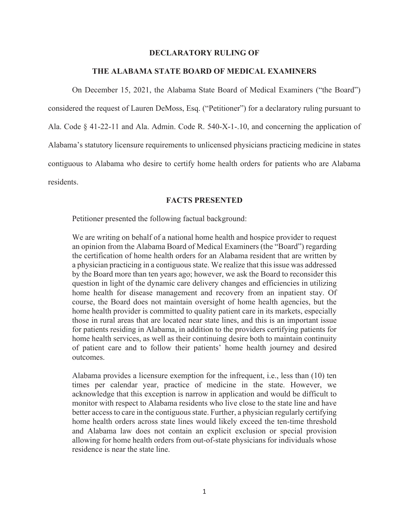#### **DECLARATORY RULING OF**

### **THE ALABAMA STATE BOARD OF MEDICAL EXAMINERS**

 On December 15, 2021, the Alabama State Board of Medical Examiners ("the Board") considered the request of Lauren DeMoss, Esq. ("Petitioner") for a declaratory ruling pursuant to Ala. Code § 41-22-11 and Ala. Admin. Code R. 540-X-1-.10, and concerning the application of Alabama's statutory licensure requirements to unlicensed physicians practicing medicine in states contiguous to Alabama who desire to certify home health orders for patients who are Alabama residents.

# **FACTS PRESENTED**

Petitioner presented the following factual background:

We are writing on behalf of a national home health and hospice provider to request an opinion from the Alabama Board of Medical Examiners (the "Board") regarding the certification of home health orders for an Alabama resident that are written by a physician practicing in a contiguous state. We realize that this issue was addressed by the Board more than ten years ago; however, we ask the Board to reconsider this question in light of the dynamic care delivery changes and efficiencies in utilizing home health for disease management and recovery from an inpatient stay. Of course, the Board does not maintain oversight of home health agencies, but the home health provider is committed to quality patient care in its markets, especially those in rural areas that are located near state lines, and this is an important issue for patients residing in Alabama, in addition to the providers certifying patients for home health services, as well as their continuing desire both to maintain continuity of patient care and to follow their patients' home health journey and desired outcomes.

Alabama provides a licensure exemption for the infrequent, i.e., less than (10) ten times per calendar year, practice of medicine in the state. However, we acknowledge that this exception is narrow in application and would be difficult to monitor with respect to Alabama residents who live close to the state line and have better access to care in the contiguous state. Further, a physician regularly certifying home health orders across state lines would likely exceed the ten-time threshold and Alabama law does not contain an explicit exclusion or special provision allowing for home health orders from out-of-state physicians for individuals whose residence is near the state line.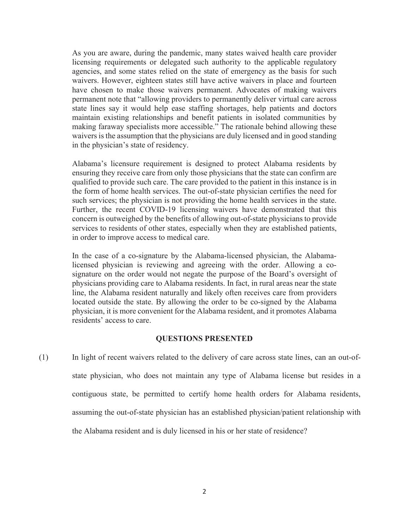As you are aware, during the pandemic, many states waived health care provider licensing requirements or delegated such authority to the applicable regulatory agencies, and some states relied on the state of emergency as the basis for such waivers. However, eighteen states still have active waivers in place and fourteen have chosen to make those waivers permanent. Advocates of making waivers permanent note that "allowing providers to permanently deliver virtual care across state lines say it would help ease staffing shortages, help patients and doctors maintain existing relationships and benefit patients in isolated communities by making faraway specialists more accessible." The rationale behind allowing these waivers is the assumption that the physicians are duly licensed and in good standing in the physician's state of residency.

Alabama's licensure requirement is designed to protect Alabama residents by ensuring they receive care from only those physicians that the state can confirm are qualified to provide such care. The care provided to the patient in this instance is in the form of home health services. The out-of-state physician certifies the need for such services; the physician is not providing the home health services in the state. Further, the recent COVID-19 licensing waivers have demonstrated that this concern is outweighed by the benefits of allowing out-of-state physicians to provide services to residents of other states, especially when they are established patients, in order to improve access to medical care.

In the case of a co-signature by the Alabama-licensed physician, the Alabamalicensed physician is reviewing and agreeing with the order. Allowing a cosignature on the order would not negate the purpose of the Board's oversight of physicians providing care to Alabama residents. In fact, in rural areas near the state line, the Alabama resident naturally and likely often receives care from providers located outside the state. By allowing the order to be co-signed by the Alabama physician, it is more convenient for the Alabama resident, and it promotes Alabama residents' access to care.

# **QUESTIONS PRESENTED**

(1) In light of recent waivers related to the delivery of care across state lines, can an out-ofstate physician, who does not maintain any type of Alabama license but resides in a contiguous state, be permitted to certify home health orders for Alabama residents, assuming the out-of-state physician has an established physician/patient relationship with the Alabama resident and is duly licensed in his or her state of residence?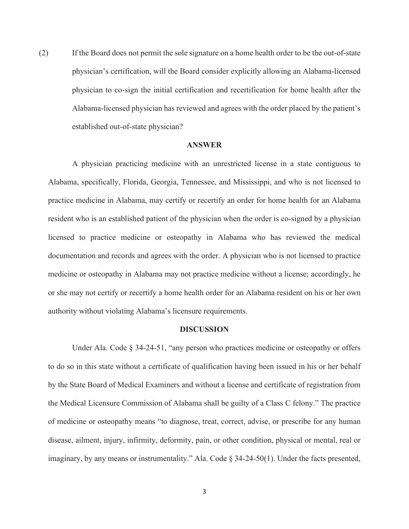(2) If the Board does not permit the sole signature on a home health order to be the out-of-state physician's certification, will the Board consider explicitly allowing an Alabama-licensed physician to co-sign the initial certification and recertification for home health after the Alabama-licensed physician has reviewed and agrees with the order placed by the patient's established out-of-state physician?

# **ANSWER**

 A physician practicing medicine with an unrestricted license in a state contiguous to Alabama, specifically, Florida, Georgia, Tennessee, and Mississippi, and who is not licensed to practice medicine in Alabama, may certify or recertify an order for home health for an Alabama resident who is an established patient of the physician when the order is co-signed by a physician licensed to practice medicine or osteopathy in Alabama who has reviewed the medical documentation and records and agrees with the order. A physician who is not licensed to practice medicine or osteopathy in Alabama may not practice medicine without a license; accordingly, he or she may not certify or recertify a home health order for an Alabama resident on his or her own authority without violating Alabama's licensure requirements.

#### **DISCUSSION**

 Under Ala. Code § 34-24-51, "any person who practices medicine or osteopathy or offers to do so in this state without a certificate of qualification having been issued in his or her behalf by the State Board of Medical Examiners and without a license and certificate of registration from the Medical Licensure Commission of Alabama shall be guilty of a Class C felony." The practice of medicine or osteopathy means "to diagnose, treat, correct, advise, or prescribe for any human disease, ailment, injury, infirmity, deformity, pain, or other condition, physical or mental, real or imaginary, by any means or instrumentality." Ala. Code § 34-24-50(1). Under the facts presented,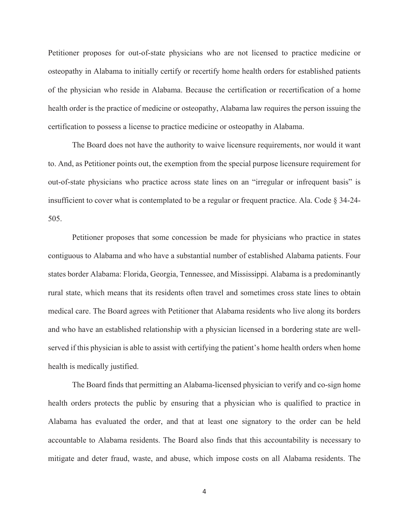Petitioner proposes for out-of-state physicians who are not licensed to practice medicine or osteopathy in Alabama to initially certify or recertify home health orders for established patients of the physician who reside in Alabama. Because the certification or recertification of a home health order is the practice of medicine or osteopathy, Alabama law requires the person issuing the certification to possess a license to practice medicine or osteopathy in Alabama.

 The Board does not have the authority to waive licensure requirements, nor would it want to. And, as Petitioner points out, the exemption from the special purpose licensure requirement for out-of-state physicians who practice across state lines on an "irregular or infrequent basis" is insufficient to cover what is contemplated to be a regular or frequent practice. Ala. Code § 34-24- 505.

 Petitioner proposes that some concession be made for physicians who practice in states contiguous to Alabama and who have a substantial number of established Alabama patients. Four states border Alabama: Florida, Georgia, Tennessee, and Mississippi. Alabama is a predominantly rural state, which means that its residents often travel and sometimes cross state lines to obtain medical care. The Board agrees with Petitioner that Alabama residents who live along its borders and who have an established relationship with a physician licensed in a bordering state are wellserved if this physician is able to assist with certifying the patient's home health orders when home health is medically justified.

 The Board finds that permitting an Alabama-licensed physician to verify and co-sign home health orders protects the public by ensuring that a physician who is qualified to practice in Alabama has evaluated the order, and that at least one signatory to the order can be held accountable to Alabama residents. The Board also finds that this accountability is necessary to mitigate and deter fraud, waste, and abuse, which impose costs on all Alabama residents. The